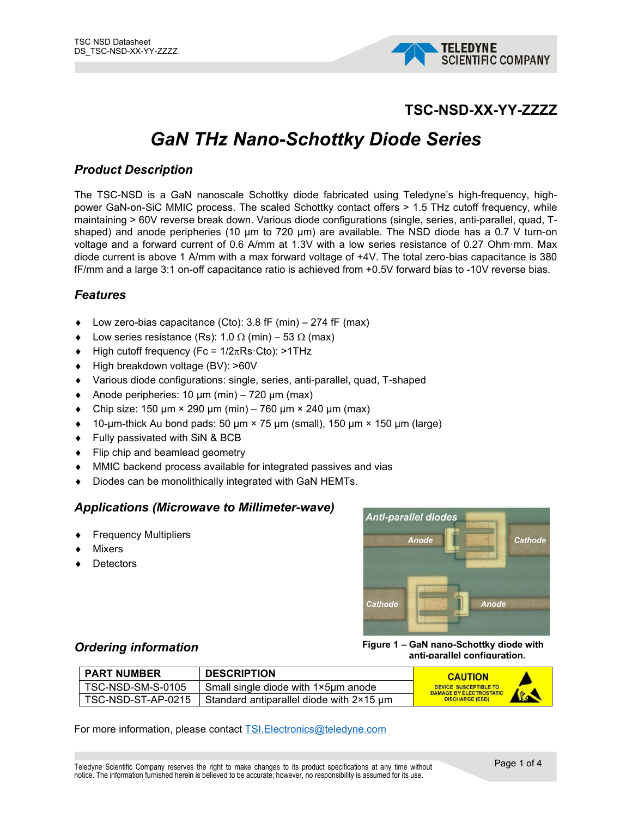

## **TSC-NSD-XX-YY-ZZZZ**

# *GaN THz Nano-Schottky Diode Series*

### *Product Description*

The TSC-NSD is a GaN nanoscale Schottky diode fabricated using Teledyne's high-frequency, highpower GaN-on-SiC MMIC process. The scaled Schottky contact offers > 1.5 THz cutoff frequency, while maintaining > 60V reverse break down. Various diode configurations (single, series, anti-parallel, quad, Tshaped) and anode peripheries (10 µm to 720 µm) are available. The NSD diode has a 0.7 V turn-on voltage and a forward current of 0.6 A/mm at 1.3V with a low series resistance of 0.27 Ohm·mm. Max diode current is above 1 A/mm with a max forward voltage of +4V. The total zero-bias capacitance is 380 fF/mm and a large 3:1 on-off capacitance ratio is achieved from +0.5V forward bias to -10V reverse bias.

#### *Features*

- $\bullet$  Low zero-bias capacitance (Cto): 3.8 fF (min) 274 fF (max)
- Low series resistance (Rs): 1.0 Ω (min) 53 Ω (max)
- $\blacklozenge$  High cutoff frequency (Fc = 1/2 $\pi$ Rs·Cto): >1THz
- ♦ High breakdown voltage (BV): >60V
- ♦ Various diode configurations: single, series, anti-parallel, quad, T-shaped
- $\triangleleft$  Anode peripheries: 10 µm (min) 720 µm (max)
- Chip size: 150  $\mu$ m × 290  $\mu$ m (min) 760  $\mu$ m × 240  $\mu$ m (max)
- $\bullet$  10-µm-thick Au bond pads: 50 µm  $\times$  75 µm (small), 150 µm  $\times$  150 µm (large)
- ♦ Fully passivated with SiN & BCB
- ♦ Flip chip and beamlead geometry
- ♦ MMIC backend process available for integrated passives and vias
- Diodes can be monolithically integrated with GaN HEMTs.

#### *Applications (Microwave to Millimeter-wave)*

- **Frequency Multipliers**
- **Mixers**
- **Detectors**



#### *Ordering information*

**Figure 1 – GaN nano-Schottky diode with anti-parallel configuration.**

| I PART NUMBER        | <b>DESCRIPTION</b>                       | <b>CAUTION</b>                                                 |                       |
|----------------------|------------------------------------------|----------------------------------------------------------------|-----------------------|
| TSC-NSD-SM-S-0105    | Small single diode with 1×5µm anode      | <b>DEVICE SUSCEPTIBLE TO</b><br><b>DAMAGE BY ELECTROSTATIC</b> |                       |
| TSC-NSD-ST-AP-0215 I | Standard antiparallel diode with 2×15 um | <b>DISCHARGE (ESD)</b>                                         | <b>SECOND CONTROL</b> |

For more information, please contact [TSI.Electronics@teledyne.com](mailto:TSI.Electronics@teledyne.com)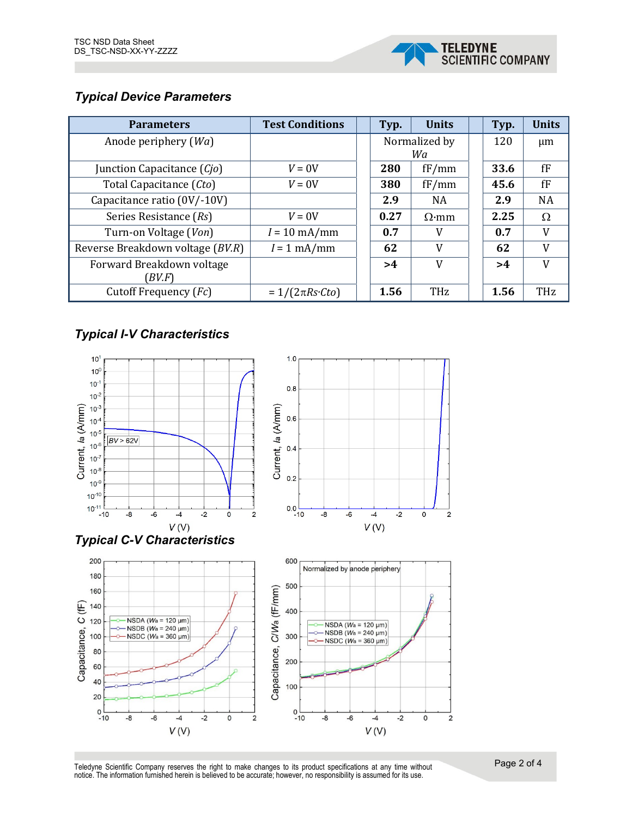

## *Typical Device Parameters*

| <b>Parameters</b>                | <b>Test Conditions</b>   | <b>Units</b><br>Typ. |              |  | Typ. | <b>Units</b> |
|----------------------------------|--------------------------|----------------------|--------------|--|------|--------------|
| Anode periphery $(Wa)$           |                          | Normalized by        |              |  | 120  | $\mu$ m      |
|                                  |                          | Wa                   |              |  |      |              |
| Junction Capacitance (Cio)       | $V = 0V$                 | 280                  | fF/mm        |  |      | fF           |
| Total Capacitance (Cto)          | $V = 0V$                 | 380                  | fF/mm        |  | 45.6 | fF           |
| Capacitance ratio (0V/-10V)      |                          | 2.9                  | <b>NA</b>    |  | 2.9  | <b>NA</b>    |
| Series Resistance (Rs)           | $V = 0V$                 | 0.27                 | $\Omega$ ·mm |  | 2.25 | Ω            |
| Turn-on Voltage (Von)            | $I = 10 \text{ mA/mm}$   | 0.7                  | V            |  | 0.7  | V            |
| Reverse Breakdown voltage (BV.R) | $I = 1$ mA/mm            | 62                   | V            |  | 62   | V            |
| Forward Breakdown voltage        |                          | >4                   | V            |  | >4   | V            |
| BV.F)                            |                          |                      |              |  |      |              |
| Cutoff Frequency (Fc)            | $=1/(2\pi Rs \cdot Cto)$ | 1.56                 | THz          |  | 1.56 | <b>THz</b>   |

## *Typical I-V Characteristics*

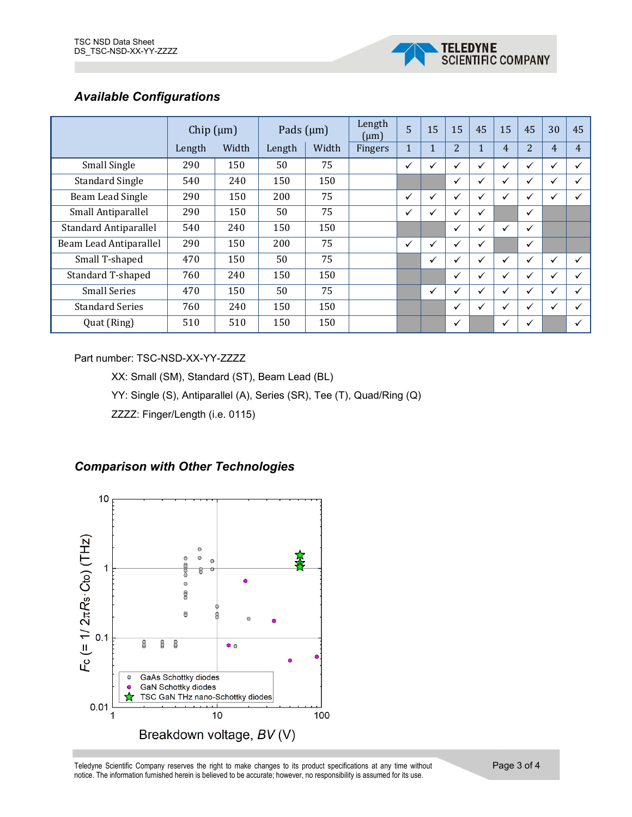

## *Available Configurations*

|                              | Chip $(\mu m)$ |       | Pads $(\mu m)$ |       | Length<br>$(\mu m)$ | 5            | 15           | 15             | 45           | 15 | 45             | 30           | 45             |
|------------------------------|----------------|-------|----------------|-------|---------------------|--------------|--------------|----------------|--------------|----|----------------|--------------|----------------|
|                              | Length         | Width | Length         | Width | Fingers             | $\mathbf{1}$ | $\mathbf{1}$ | $\overline{2}$ | 1            | 4  | $\overline{2}$ | 4            | $\overline{4}$ |
| Small Single                 | 290            | 150   | 50             | 75    |                     | ✓            |              | ✓              | ✓            | ✓  | $\checkmark$   | ✓            | ✓              |
| <b>Standard Single</b>       | 540            | 240   | 150            | 150   |                     |              |              | ✓              | v            | ✓  | $\checkmark$   | ✓            | ✓              |
| Beam Lead Single             | 290            | 150   | 200            | 75    |                     | ✓            |              | $\checkmark$   | $\checkmark$ | ✓  | ✓              | ✓            | ✓              |
| Small Antiparallel           | 290            | 150   | 50             | 75    |                     | ✓            |              | ✓              | ✓            |    | ✓              |              |                |
| <b>Standard Antiparallel</b> | 540            | 240   | 150            | 150   |                     |              |              | ✓              | v            | ✓  | $\checkmark$   |              |                |
| Beam Lead Antiparallel       | 290            | 150   | 200            | 75    |                     | $\checkmark$ |              | $\checkmark$   | ✓            |    | ✓              |              |                |
| Small T-shaped               | 470            | 150   | 50             | 75    |                     |              | ✓            | $\checkmark$   | ✓            | ✓  | $\checkmark$   | ✓            | ✓              |
| Standard T-shaped            | 760            | 240   | 150            | 150   |                     |              |              | ✓              | v            | ✓  | $\checkmark$   | $\checkmark$ | ✓              |
| <b>Small Series</b>          | 470            | 150   | 50             | 75    |                     |              | ✓            | $\checkmark$   | ✓            | ✓  | $\checkmark$   | ✓            | ✓              |
| <b>Standard Series</b>       | 760            | 240   | 150            | 150   |                     |              |              | ✓              | ✓            | ✓  | $\checkmark$   | ✓            | ✓              |
| Quat (Ring)                  | 510            | 510   | 150            | 150   |                     |              |              | ✓              |              | ✓  | $\checkmark$   |              | $\checkmark$   |

## Part number: TSC-NSD-XX-YY-ZZZZ

XX: Small (SM), Standard (ST), Beam Lead (BL)

YY: Single (S), Antiparallel (A), Series (SR), Tee (T), Quad/Ring (Q)

ZZZZ: Finger/Length (i.e. 0115)





Teledyne Scientific Company reserves the right to make changes to its product specifications at any time without notice. The information furnished herein is believed to be accurate; however, no responsibility is assumed for its use.